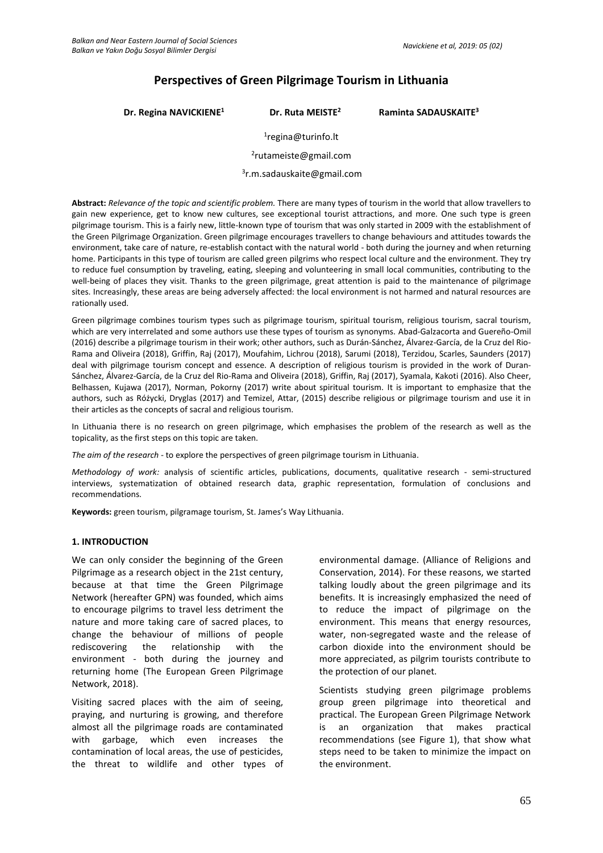# **Perspectives of Green Pilgrimage Tourism in Lithuania**

**Dr. Regina NAVICKIENE<sup>1</sup> Dr. Ruta MEISTE<sup>2</sup> Raminta SADAUSKAITE<sup>3</sup>**

1 [regina@turinfo.lt](mailto:regina@turinfo.lt)

2 [rutameiste@gmail.com](mailto:rutameiste@gmail.com)

3 [r.m.sadauskaite@gmail.com](mailto:r.m.sadauskaite@gmail.com)

**Abstract:** *Relevance of the topic and scientific problem.* There are many types of tourism in the world that allow travellers to gain new experience, get to know new cultures, see exceptional tourist attractions, and more. One such type is green pilgrimage tourism. This is a fairly new, little-known type of tourism that was only started in 2009 with the establishment of the Green Pilgrimage Organization. Green pilgrimage encourages travellers to change behaviours and attitudes towards the environment, take care of nature, re-establish contact with the natural world - both during the journey and when returning home. Participants in this type of tourism are called green pilgrims who respect local culture and the environment. They try to reduce fuel consumption by traveling, eating, sleeping and volunteering in small local communities, contributing to the well-being of places they visit. Thanks to the green pilgrimage, great attention is paid to the maintenance of pilgrimage sites. Increasingly, these areas are being adversely affected: the local environment is not harmed and natural resources are rationally used.

Green pilgrimage combines tourism types such as pilgrimage tourism, spiritual tourism, religious tourism, sacral tourism, which are very interrelated and some authors use these types of tourism as synonyms. Abad-Galzacorta and Guereño-Omil (2016) describe a pilgrimage tourism in their work; other authors, such as Durán-Sánchez, Álvarez-García, de la Cruz del Rio-Rama and Oliveira (2018), Griffin, Raj (2017), Moufahim, Lichrou (2018), Sarumi (2018), Terzidou, Scarles, Saunders (2017) deal with pilgrimage tourism concept and essence. A description of religious tourism is provided in the work of Duran-Sánchez, Álvarez-García, de la Cruz del Rio-Rama and Oliveira (2018), Griffin, Raj (2017), Syamala, Kakoti (2016). Also Cheer, Belhassen, Kujawa (2017), Norman, Pokorny (2017) write about spiritual tourism. It is important to emphasize that the authors, such as Różycki, Dryglas (2017) and Temizel, Attar, (2015) describe religious or pilgrimage tourism and use it in their articles as the concepts of sacral and religious tourism.

In Lithuania there is no research on green pilgrimage, which emphasises the problem of the research as well as the topicality, as the first steps on this topic are taken.

*The aim of the research -* to explore the perspectives of green pilgrimage tourism in Lithuania.

*Methodology of work:* analysis of scientific articles, publications, documents, qualitative research - semi-structured interviews, systematization of obtained research data, graphic representation, formulation of conclusions and recommendations.

**Keywords:** green tourism, pilgramage tourism, St. James's Way Lithuania.

#### **1. INTRODUCTION**

We can only consider the beginning of the Green Pilgrimage as a research object in the 21st century, because at that time the Green Pilgrimage Network (hereafter GPN) was founded, which aims to encourage pilgrims to travel less detriment the nature and more taking care of sacred places, to change the behaviour of millions of people rediscovering the relationship with the environment - both during the journey and returning home (The European Green Pilgrimage Network, 2018).

Visiting sacred places with the aim of seeing, praying, and nurturing is growing, and therefore almost all the pilgrimage roads are contaminated with garbage, which even increases the contamination of local areas, the use of pesticides, the threat to wildlife and other types of environmental damage. (Alliance of Religions and Conservation, 2014). For these reasons, we started talking loudly about the green pilgrimage and its benefits. It is increasingly emphasized the need of to reduce the impact of pilgrimage on the environment. This means that energy resources, water, non-segregated waste and the release of carbon dioxide into the environment should be more appreciated, as pilgrim tourists contribute to the protection of our planet.

Scientists studying green pilgrimage problems group green pilgrimage into theoretical and practical. The European Green Pilgrimage Network is an organization that makes practical recommendations (see Figure 1), that show what steps need to be taken to minimize the impact on the environment.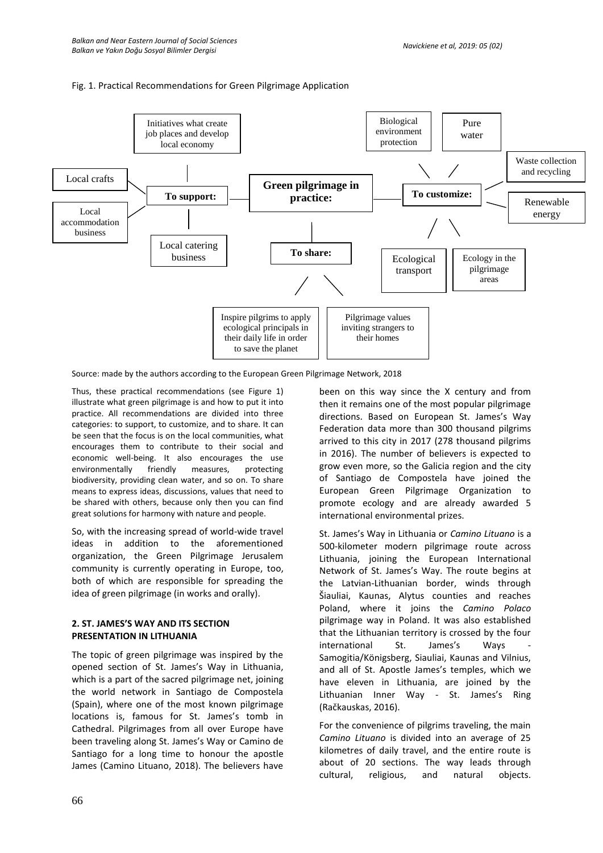#### Fig. 1. Practical Recommendations for Green Pilgrimage Application



Source: made by the authors according to the European Green Pilgrimage Network, 2018

Thus, these practical recommendations (see Figure 1) illustrate what green pilgrimage is and how to put it into practice. All recommendations are divided into three categories: to support, to customize, and to share. It can be seen that the focus is on the local communities, what encourages them to contribute to their social and economic well-being. It also encourages the use environmentally friendly measures, protecting biodiversity, providing clean water, and so on. To share means to express ideas, discussions, values that need to be shared with others, because only then you can find great solutions for harmony with nature and people.

So, with the increasing spread of world-wide travel ideas in addition to the aforementioned organization, the Green Pilgrimage Jerusalem community is currently operating in Europe, too, both of which are responsible for spreading the idea of green pilgrimage (in works and orally).

### **2. ST. JAMES'S WAY AND ITS SECTION PRESENTATION IN LITHUANIA**

The topic of green pilgrimage was inspired by the opened section of St. James's Way in Lithuania, which is a part of the sacred pilgrimage net, joining the world network in Santiago de Compostela (Spain), where one of the most known pilgrimage locations is, famous for St. James's tomb in Cathedral. Pilgrimages from all over Europe have been traveling along St. James's Way or Camino de Santiago for a long time to honour the apostle James (Camino Lituano, 2018). The believers have

been on this way since the X century and from then it remains one of the most popular pilgrimage directions. Based on European St. James's Way Federation data more than 300 thousand pilgrims arrived to this city in 2017 (278 thousand pilgrims in 2016). The number of believers is expected to grow even more, so the Galicia region and the city of Santiago de Compostela have joined the European Green Pilgrimage Organization to promote ecology and are already awarded 5 international environmental prizes.

St. James's Way in Lithuania or *Camino Lituano* is a 500-kilometer modern pilgrimage route across Lithuania, joining the European International Network of St. James's Way. The route begins at the Latvian-Lithuanian border, winds through Šiauliai, Kaunas, Alytus counties and reaches Poland, where it joins the *Camino Polaco* pilgrimage way in Poland. It was also established that the Lithuanian territory is crossed by the four international St. James's Ways Samogitia/Königsberg, Siauliai, Kaunas and Vilnius, and all of St. Apostle James's temples, which we have eleven in Lithuania, are joined by the Lithuanian Inner Way - St. James's Ring (Račkauskas, 2016).

For the convenience of pilgrims traveling, the main *Camino Lituano* is divided into an average of 25 kilometres of daily travel, and the entire route is about of 20 sections. The way leads through cultural, religious, and natural objects.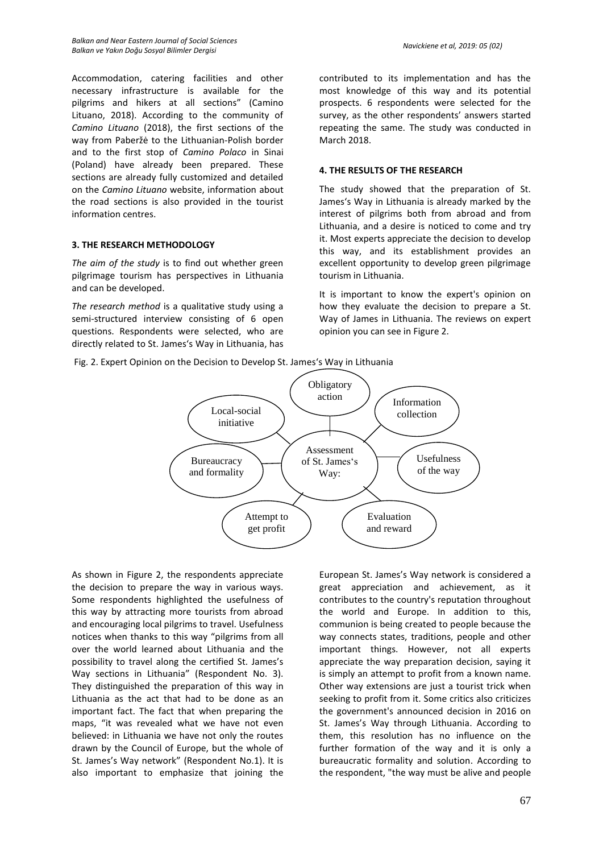Accommodation, catering facilities and other necessary infrastructure is available for the pilgrims and hikers at all sections" (Camino Lituano, 2018). According to the community of *Camino Lituano* (2018), the first sections of the way from Paberžė to the Lithuanian-Polish border and to the first stop of *Camino Polaco* in Sinai (Poland) have already been prepared. These sections are already fully customized and detailed on the *Camino Lituano* website, information about the road sections is also provided in the tourist information centres.

# **3. THE RESEARCH METHODOLOGY**

*The aim of the study* is to find out whether green pilgrimage tourism has perspectives in Lithuania and can be developed.

*The research method* is a qualitative study using a semi-structured interview consisting of 6 open questions. Respondents were selected, who are directly related to St. James's Way in Lithuania, has

contributed to its implementation and has the most knowledge of this way and its potential prospects. 6 respondents were selected for the survey, as the other respondents' answers started repeating the same. The study was conducted in March 2018.

#### **4. THE RESULTS OF THE RESEARCH**

The study showed that the preparation of St. James's Way in Lithuania is already marked by the interest of pilgrims both from abroad and from Lithuania, and a desire is noticed to come and try it. Most experts appreciate the decision to develop this way, and its establishment provides an excellent opportunity to develop green pilgrimage tourism in Lithuania.

It is important to know the expert's opinion on how they evaluate the decision to prepare a St. Way of James in Lithuania. The reviews on expert opinion you can see in Figure 2.





As shown in Figure 2, the respondents appreciate the decision to prepare the way in various ways. Some respondents highlighted the usefulness of this way by attracting more tourists from abroad and encouraging local pilgrims to travel. Usefulness notices when thanks to this way "pilgrims from all over the world learned about Lithuania and the possibility to travel along the certified St. James's Way sections in Lithuania" (Respondent No. 3). They distinguished the preparation of this way in Lithuania as the act that had to be done as an important fact. The fact that when preparing the maps, "it was revealed what we have not even believed: in Lithuania we have not only the routes drawn by the Council of Europe, but the whole of St. James's Way network" (Respondent No.1). It is also important to emphasize that joining the European St. James's Way network is considered a great appreciation and achievement, as it contributes to the country's reputation throughout the world and Europe. In addition to this, communion is being created to people because the way connects states, traditions, people and other important things. However, not all experts appreciate the way preparation decision, saying it is simply an attempt to profit from a known name. Other way extensions are just a tourist trick when seeking to profit from it. Some critics also criticizes the government's announced decision in 2016 on St. James's Way through Lithuania. According to them, this resolution has no influence on the further formation of the way and it is only a bureaucratic formality and solution. According to the respondent, "the way must be alive and people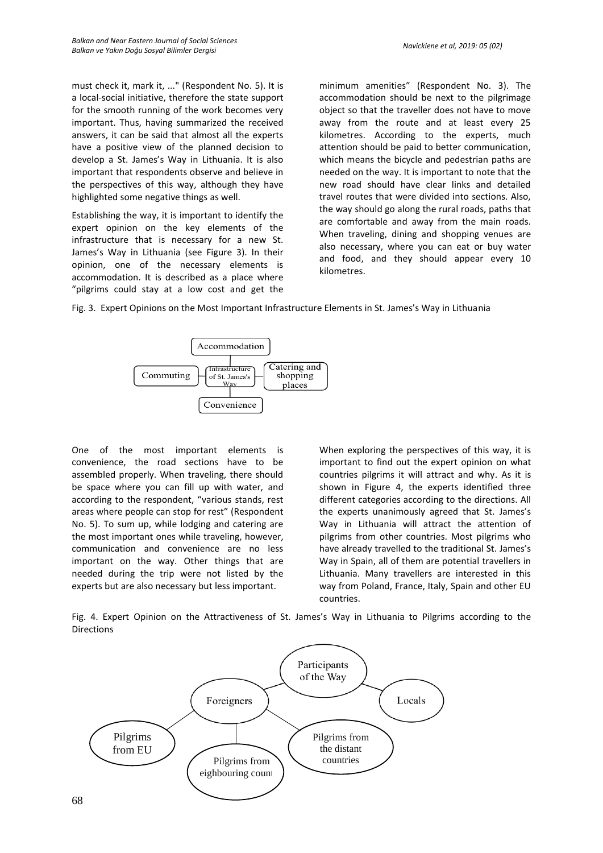must check it, mark it, ..." (Respondent No. 5). It is a local-social initiative, therefore the state support for the smooth running of the work becomes very important. Thus, having summarized the received answers, it can be said that almost all the experts have a positive view of the planned decision to develop a St. James's Way in Lithuania. It is also important that respondents observe and believe in the perspectives of this way, although they have highlighted some negative things as well.

Establishing the way, it is important to identify the expert opinion on the key elements of the infrastructure that is necessary for a new St. James's Way in Lithuania (see Figure 3). In their opinion, one of the necessary elements is accommodation. It is described as a place where "pilgrims could stay at a low cost and get the

minimum amenities" (Respondent No. 3). The accommodation should be next to the pilgrimage object so that the traveller does not have to move away from the route and at least every 25 kilometres. According to the experts, much attention should be paid to better communication, which means the bicycle and pedestrian paths are needed on the way. It is important to note that the new road should have clear links and detailed travel routes that were divided into sections. Also, the way should go along the rural roads, paths that are comfortable and away from the main roads. When traveling, dining and shopping venues are also necessary, where you can eat or buy water and food, and they should appear every 10 kilometres.

Fig. 3. Expert Opinions on the Most Important Infrastructure Elements in St. James's Way in Lithuania



One of the most important elements is convenience, the road sections have to be assembled properly. When traveling, there should be space where you can fill up with water, and according to the respondent, "various stands, rest areas where people can stop for rest" (Respondent No. 5). To sum up, while lodging and catering are the most important ones while traveling, however, communication and convenience are no less important on the way. Other things that are needed during the trip were not listed by the experts but are also necessary but less important.

When exploring the perspectives of this way, it is important to find out the expert opinion on what countries pilgrims it will attract and why. As it is shown in Figure 4, the experts identified three different categories according to the directions. All the experts unanimously agreed that St. James's Way in Lithuania will attract the attention of pilgrims from other countries. Most pilgrims who have already travelled to the traditional St. James's Way in Spain, all of them are potential travellers in Lithuania. Many travellers are interested in this way from Poland, France, Italy, Spain and other EU countries.

Fig. 4. Expert Opinion on the Attractiveness of St. James's Way in Lithuania to Pilgrims according to the **Directions** 

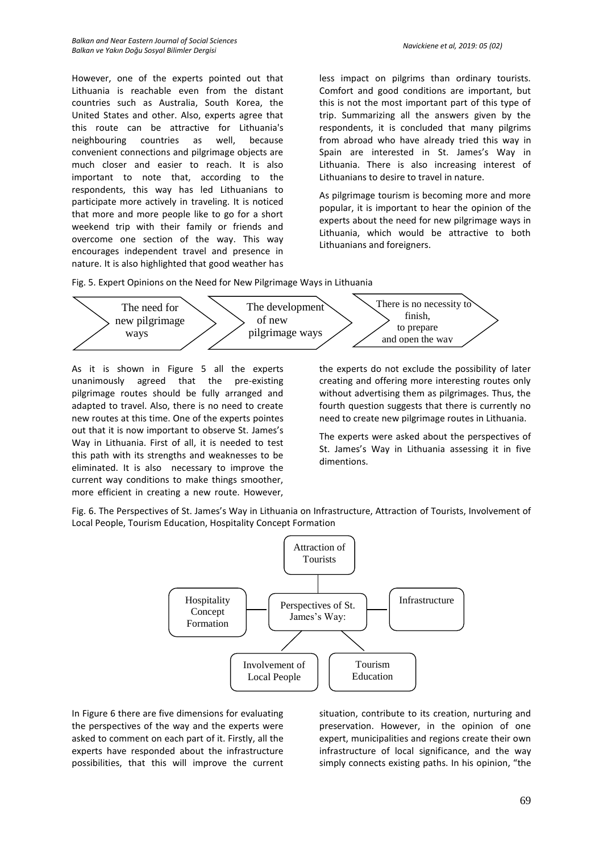However, one of the experts pointed out that Lithuania is reachable even from the distant countries such as Australia, South Korea, the United States and other. Also, experts agree that this route can be attractive for Lithuania's neighbouring countries as well, because convenient connections and pilgrimage objects are much closer and easier to reach. It is also important to note that, according to the respondents, this way has led Lithuanians to participate more actively in traveling. It is noticed that more and more people like to go for a short weekend trip with their family or friends and overcome one section of the way. This way encourages independent travel and presence in nature. It is also highlighted that good weather has less impact on pilgrims than ordinary tourists. Comfort and good conditions are important, but this is not the most important part of this type of trip. Summarizing all the answers given by the respondents, it is concluded that many pilgrims from abroad who have already tried this way in Spain are interested in St. James's Way in Lithuania. There is also increasing interest of Lithuanians to desire to travel in nature.

As pilgrimage tourism is becoming more and more popular, it is important to hear the opinion of the experts about the need for new pilgrimage ways in Lithuania, which would be attractive to both Lithuanians and foreigners.

Fig. 5. Expert Opinions on the Need for New Pilgrimage Ways in Lithuania



As it is shown in Figure 5 all the experts unanimously agreed that the pre-existing pilgrimage routes should be fully arranged and adapted to travel. Also, there is no need to create new routes at this time. One of the experts pointes out that it is now important to observe St. James's Way in Lithuania. First of all, it is needed to test this path with its strengths and weaknesses to be eliminated. It is also necessary to improve the current way conditions to make things smoother, more efficient in creating a new route. However, the experts do not exclude the possibility of later creating and offering more interesting routes only without advertising them as pilgrimages. Thus, the fourth question suggests that there is currently no need to create new pilgrimage routes in Lithuania.

The experts were asked about the perspectives of St. James's Way in Lithuania assessing it in five dimentions.

Fig. 6. The Perspectives of St. James's Way in Lithuania on Infrastructure, Attraction of Tourists, Involvement of Local People, Tourism Education, Hospitality Concept Formation



In Figure 6 there are five dimensions for evaluating the perspectives of the way and the experts were asked to comment on each part of it. Firstly, all the experts have responded about the infrastructure possibilities, that this will improve the current situation, contribute to its creation, nurturing and preservation. However, in the opinion of one expert, municipalities and regions create their own infrastructure of local significance, and the way simply connects existing paths. In his opinion, "the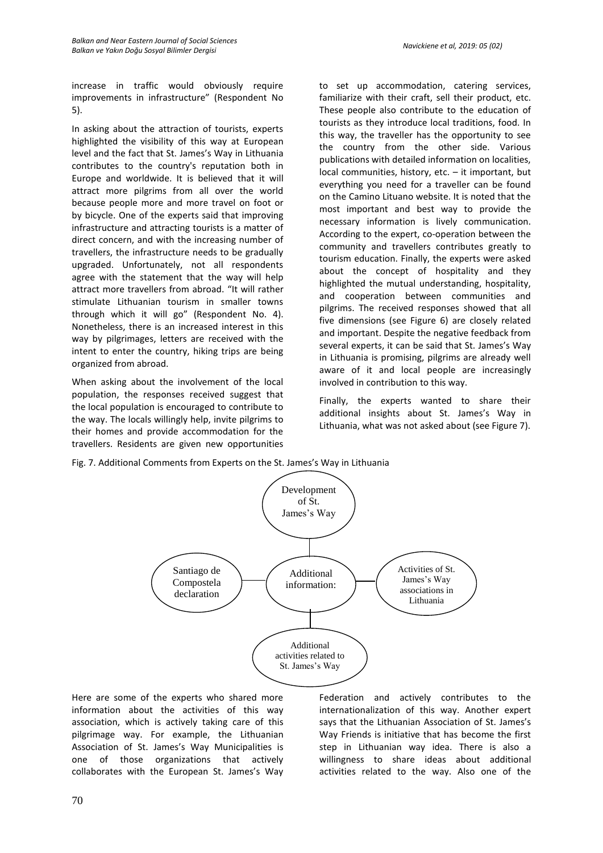increase in traffic would obviously require improvements in infrastructure" (Respondent No 5).

In asking about the attraction of tourists, experts highlighted the visibility of this way at European level and the fact that St. James's Way in Lithuania contributes to the country's reputation both in Europe and worldwide. It is believed that it will attract more pilgrims from all over the world because people more and more travel on foot or by bicycle. One of the experts said that improving infrastructure and attracting tourists is a matter of direct concern, and with the increasing number of travellers, the infrastructure needs to be gradually upgraded. Unfortunately, not all respondents agree with the statement that the way will help attract more travellers from abroad. "It will rather stimulate Lithuanian tourism in smaller towns through which it will go" (Respondent No. 4). Nonetheless, there is an increased interest in this way by pilgrimages, letters are received with the intent to enter the country, hiking trips are being organized from abroad.

When asking about the involvement of the local population, the responses received suggest that the local population is encouraged to contribute to the way. The locals willingly help, invite pilgrims to their homes and provide accommodation for the travellers. Residents are given new opportunities

to set up accommodation, catering services, familiarize with their craft, sell their product, etc. These people also contribute to the education of tourists as they introduce local traditions, food. In this way, the traveller has the opportunity to see the country from the other side. Various publications with detailed information on localities, local communities, history, etc. – it important, but everything you need for a traveller can be found on the Camino Lituano website. It is noted that the most important and best way to provide the necessary information is lively communication. According to the expert, co-operation between the community and travellers contributes greatly to tourism education. Finally, the experts were asked about the concept of hospitality and they highlighted the mutual understanding, hospitality, and cooperation between communities and pilgrims. The received responses showed that all five dimensions (see Figure 6) are closely related and important. Despite the negative feedback from several experts, it can be said that St. James's Way in Lithuania is promising, pilgrims are already well aware of it and local people are increasingly involved in contribution to this way.

Finally, the experts wanted to share their additional insights about St. James's Way in Lithuania, what was not asked about (see Figure 7).

Fig. 7. Additional Comments from Experts on the St. James's Way in Lithuania



Here are some of the experts who shared more information about the activities of this way association, which is actively taking care of this pilgrimage way. For example, the Lithuanian Association of St. James's Way Municipalities is one of those organizations that actively collaborates with the European St. James's Way Federation and actively contributes to the internationalization of this way. Another expert says that the Lithuanian Association of St. James's Way Friends is initiative that has become the first step in Lithuanian way idea. There is also a willingness to share ideas about additional activities related to the way. Also one of the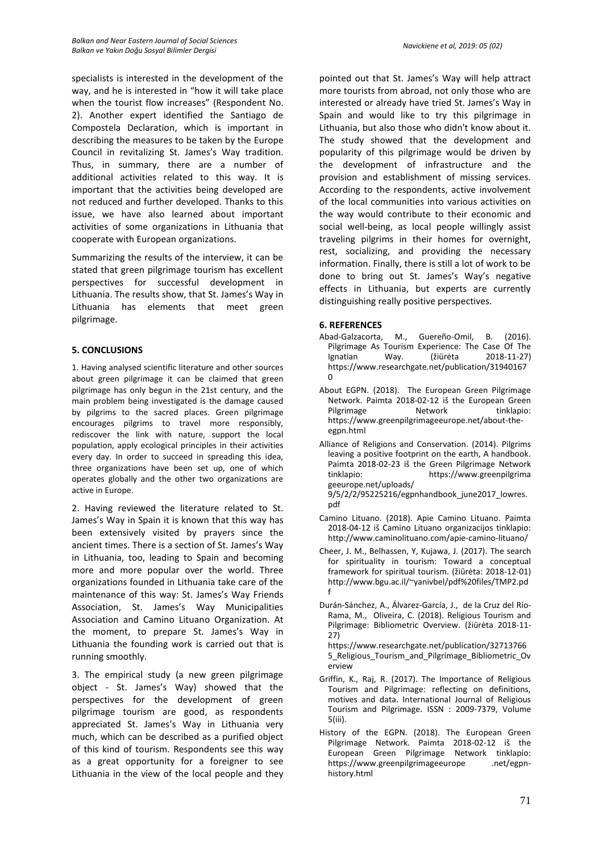specialists is interested in the development of the way, and he is interested in "how it will take place when the tourist flow increases" (Respondent No. 2). Another expert identified the Santiago de Compostela Declaration, which is important in describing the measures to be taken by the Europe Council in revitalizing St. James's Way tradition. Thus, in summary, there are a number of additional activities related to this way. It is important that the activities being developed are not reduced and further developed. Thanks to this issue, we have also learned about important activities of some organizations in Lithuania that cooperate with European organizations.

Summarizing the results of the interview, it can be stated that green pilgrimage tourism has excellent perspectives for successful development in Lithuania. The results show, that St. James's Way in Lithuania has elements that meet green pilgrimage.

# **5. CONCLUSIONS**

1. Having analysed scientific literature and other sources about green pilgrimage it can be claimed that green pilgrimage has only begun in the 21st century, and the main problem being investigated is the damage caused by pilgrims to the sacred places. Green pilgrimage encourages pilgrims to travel more responsibly, rediscover the link with nature, support the local population, apply ecological principles in their activities every day. In order to succeed in spreading this idea, three organizations have been set up, one of which operates globally and the other two organizations are active in Europe.

2. Having reviewed the literature related to St. James's Way in Spain it is known that this way has been extensively visited by prayers since the ancient times. There is a section of St. James's Way in Lithuania, too, leading to Spain and becoming more and more popular over the world. Three organizations founded in Lithuania take care of the maintenance of this way: St. James's Way Friends Association, St. James's Way Municipalities Association and Camino Lituano Organization. At the moment, to prepare St. James's Way in Lithuania the founding work is carried out that is running smoothly.

3. The empirical study (a new green pilgrimage object - St. James's Way) showed that the perspectives for the development of green pilgrimage tourism are good, as respondents appreciated St. James's Way in Lithuania very much, which can be described as a purified object of this kind of tourism. Respondents see this way as a great opportunity for a foreigner to see Lithuania in the view of the local people and they pointed out that St. James's Way will help attract more tourists from abroad, not only those who are interested or already have tried St. James's Way in Spain and would like to try this pilgrimage in Lithuania, but also those who didn't know about it. The study showed that the development and popularity of this pilgrimage would be driven by the development of infrastructure and the provision and establishment of missing services. According to the respondents, active involvement of the local communities into various activities on the way would contribute to their economic and social well-being, as local people willingly assist traveling pilgrims in their homes for overnight, rest, socializing, and providing the necessary information. Finally, there is still a lot of work to be done to bring out St. James's Way's negative effects in Lithuania, but experts are currently distinguishing really positive perspectives.

# **6. REFERENCES**

- M., Guereño-Omil, B. (2016). Pilgrimage As Tourism Experience: The Case Of The Ignatian Way. (žiūrėta 2018-11-27) [https://www.researchgate.net/publication/31940167](https://www.researchgate.net/publication/319401670)  $\Omega$
- About EGPN. (2018). The European Green Pilgrimage Network. Paimta 2018-02-12 iš the European Green Pilgrimage Network tinklapio: https://www.greenpilgrimageeurope.net/about-theegpn.html
- Alliance of Religions and Conservation. (2014). Pilgrims leaving a positive footprint on the earth, A handbook. Paimta 2018-02-23 iš the Green Pilgrimage Network<br>tinklapio: https://www.greenpilgrima https://www.greenpilgrima geeurope.net/uploads/

9/5/2/2/95225216/egpnhandbook\_june2017\_lowres. pdf

- Camino Lituano. (2018). Apie Camino Lituano. Paimta 2018-04-12 iš Camino Lituano organizacijos tinklapio: http://www.caminolituano.com/apie-camino-lituano/
- Cheer, J. M., Belhassen, Y, Kujawa, J. (2017). The search for spirituality in tourism: Toward a conceptual framework for spiritual tourism. (žiūrėta: 2018-12-01) http://www.bgu.ac.il/~yanivbel/pdf%20files/TMP2.pd f
- Durán-Sánchez, A., Álvarez-García, J., de la Cruz del Río-Rama, M., Oliveira, C. (2018). Religious Tourism and Pilgrimage: Bibliometric Overview. (žiūrėta 2018-11- 27)

https://www.researchgate.net/publication/32713766 5 Religious Tourism and Pilgrimage Bibliometric Ov erview

- Griffin, K., Raj, R. (2017). The Importance of Religious Tourism and Pilgrimage: reflecting on definitions, motives and data. International Journal of Religious Tourism and Pilgrimage. ISSN : 2009-7379, Volume 5(iii).
- History of the EGPN. (2018). The European Green Pilgrimage Network. Paimta 2018-02-12 iš the European Green Pilgrimage Network tinklapio: https://www.greenpilgrimageeurope .net/egpnhistory.html